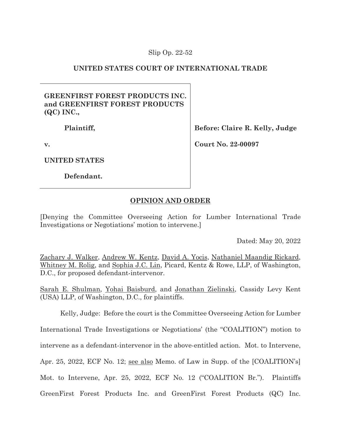## Slip Op. 22-52

# **UNITED STATES COURT OF INTERNATIONAL TRADE**

## **GREENFIRST FOREST PRODUCTS INC. and GREENFIRST FOREST PRODUCTS (QC) INC.,**

 **Plaintiff,** 

**v.** 

**UNITED STATES** 

 **Defendant.** 

**Before: Claire R. Kelly, Judge** 

**Court No. 22-00097** 

# **OPINION AND ORDER**

[Denying the Committee Overseeing Action for Lumber International Trade Investigations or Negotiations' motion to intervene.]

Dated: May 20, 2022

Zachary J. Walker, Andrew W. Kentz, David A. Yocis, Nathaniel Maandig Rickard, Whitney M. Rolig, and Sophia J.C. Lin, Picard, Kentz & Rowe, LLP, of Washington, D.C., for proposed defendant-intervenor.

Sarah E. Shulman, Yohai Baisburd, and Jonathan Zielinski, Cassidy Levy Kent (USA) LLP, of Washington, D.C., for plaintiffs.

Kelly, Judge: Before the court is the Committee Overseeing Action for Lumber

International Trade Investigations or Negotiations' (the "COALITION") motion to

intervene as a defendant-intervenor in the above-entitled action. Mot. to Intervene,

Apr. 25, 2022, ECF No. 12; see also Memo. of Law in Supp. of the [COALITION's]

Mot. to Intervene, Apr. 25, 2022, ECF No. 12 ("COALITION Br."). Plaintiffs

GreenFirst Forest Products Inc. and GreenFirst Forest Products (QC) Inc.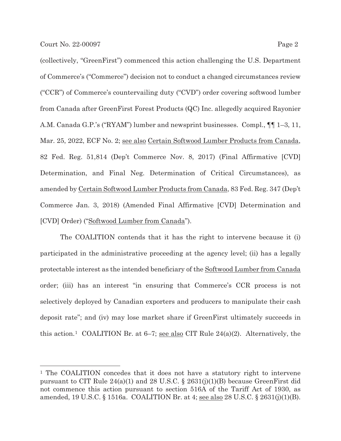(collectively, "GreenFirst") commenced this action challenging the U.S. Department of Commerce's ("Commerce") decision not to conduct a changed circumstances review ("CCR") of Commerce's countervailing duty ("CVD") order covering softwood lumber from Canada after GreenFirst Forest Products (QC) Inc. allegedly acquired Rayonier A.M. Canada G.P.'s ("RYAM") lumber and newsprint businesses. Compl., ¶¶ 1–3, 11, Mar. 25, 2022, ECF No. 2; see also Certain Softwood Lumber Products from Canada, 82 Fed. Reg. 51,814 (Dep't Commerce Nov. 8, 2017) (Final Affirmative [CVD] Determination, and Final Neg. Determination of Critical Circumstances), as amended by Certain Softwood Lumber Products from Canada, 83 Fed. Reg. 347 (Dep't Commerce Jan. 3, 2018) (Amended Final Affirmative [CVD] Determination and [CVD] Order) ("Softwood Lumber from Canada").

The COALITION contends that it has the right to intervene because it (i) participated in the administrative proceeding at the agency level; (ii) has a legally protectable interest as the intended beneficiary of the Softwood Lumber from Canada order; (iii) has an interest "in ensuring that Commerce's CCR process is not selectively deployed by Canadian exporters and producers to manipulate their cash deposit rate"; and (iv) may lose market share if GreenFirst ultimately succeeds in this action.<sup>1</sup> COALITION Br. at 6–7; <u>see also</u> CIT Rule 24(a)(2). Alternatively, the

<sup>1</sup> The COALITION concedes that it does not have a statutory right to intervene pursuant to CIT Rule  $24(a)(1)$  and 28 U.S.C. § 2631(j)(1)(B) because GreenFirst did not commence this action pursuant to section 516A of the Tariff Act of 1930, as amended, 19 U.S.C. § 1516a. COALITION Br. at 4; <u>see also</u> 28 U.S.C. § 2631(j)(1)(B).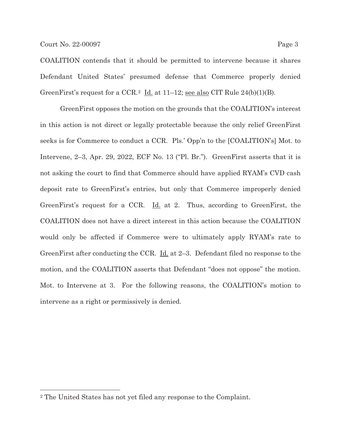COALITION contends that it should be permitted to intervene because it shares Defendant United States' presumed defense that Commerce properly denied GreenFirst's request for a CCR.<sup>2</sup> Id. at  $11-12$ ; see also CIT Rule  $24(b)(1)(B)$ .

 GreenFirst opposes the motion on the grounds that the COALITION's interest in this action is not direct or legally protectable because the only relief GreenFirst seeks is for Commerce to conduct a CCR. Pls.' Opp'n to the [COALITION's] Mot. to Intervene, 2–3, Apr. 29, 2022, ECF No. 13 ("Pl. Br."). GreenFirst asserts that it is not asking the court to find that Commerce should have applied RYAM's CVD cash deposit rate to GreenFirst's entries, but only that Commerce improperly denied GreenFirst's request for a CCR. Id. at 2. Thus, according to GreenFirst, the COALITION does not have a direct interest in this action because the COALITION would only be affected if Commerce were to ultimately apply RYAM's rate to GreenFirst after conducting the CCR. <u>Id.</u> at 2–3. Defendant filed no response to the motion, and the COALITION asserts that Defendant "does not oppose" the motion. Mot. to Intervene at 3. For the following reasons, the COALITION's motion to intervene as a right or permissively is denied.

<sup>2</sup> The United States has not yet filed any response to the Complaint.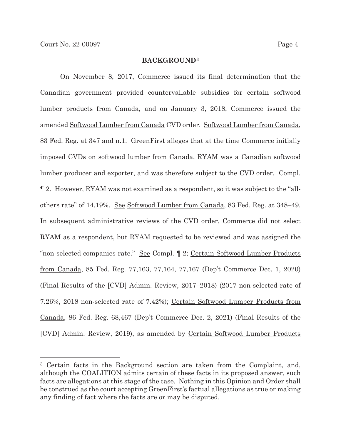#### **BACKGROUND3**

On November 8, 2017, Commerce issued its final determination that the Canadian government provided countervailable subsidies for certain softwood lumber products from Canada, and on January 3, 2018, Commerce issued the amended Softwood Lumber from Canada CVD order. Softwood Lumber from Canada, 83 Fed. Reg. at 347 and n.1. GreenFirst alleges that at the time Commerce initially imposed CVDs on softwood lumber from Canada, RYAM was a Canadian softwood lumber producer and exporter, and was therefore subject to the CVD order. Compl. ¶ 2. However, RYAM was not examined as a respondent, so it was subject to the "allothers rate" of 14.19%. See Softwood Lumber from Canada, 83 Fed. Reg. at 348–49. In subsequent administrative reviews of the CVD order, Commerce did not select RYAM as a respondent, but RYAM requested to be reviewed and was assigned the "non-selected companies rate." See Compl. ¶ 2; Certain Softwood Lumber Products from Canada, 85 Fed. Reg. 77,163, 77,164, 77,167 (Dep't Commerce Dec. 1, 2020) (Final Results of the [CVD] Admin. Review, 2017–2018) (2017 non-selected rate of 7.26%, 2018 non-selected rate of 7.42%); Certain Softwood Lumber Products from Canada, 86 Fed. Reg. 68,467 (Dep't Commerce Dec. 2, 2021) (Final Results of the [CVD] Admin. Review, 2019), as amended by Certain Softwood Lumber Products

<sup>3</sup> Certain facts in the Background section are taken from the Complaint, and, although the COALITION admits certain of these facts in its proposed answer, such facts are allegations at this stage of the case. Nothing in this Opinion and Order shall be construed as the court accepting GreenFirst's factual allegations as true or making any finding of fact where the facts are or may be disputed.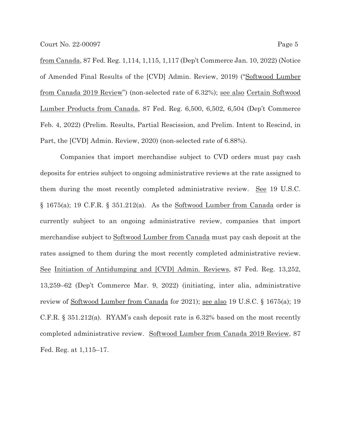from Canada, 87 Fed. Reg. 1,114, 1,115, 1,117 (Dep't Commerce Jan. 10, 2022) (Notice of Amended Final Results of the [CVD] Admin. Review, 2019) ("Softwood Lumber from Canada 2019 Review") (non-selected rate of 6.32%); see also Certain Softwood Lumber Products from Canada, 87 Fed. Reg. 6,500, 6,502, 6,504 (Dep't Commerce Feb. 4, 2022) (Prelim. Results, Partial Rescission, and Prelim. Intent to Rescind, in Part, the [CVD] Admin. Review, 2020) (non-selected rate of 6.88%).

Companies that import merchandise subject to CVD orders must pay cash deposits for entries subject to ongoing administrative reviews at the rate assigned to them during the most recently completed administrative review. See 19 U.S.C. § 1675(a); 19 C.F.R. § 351.212(a). As the Softwood Lumber from Canada order is currently subject to an ongoing administrative review, companies that import merchandise subject to Softwood Lumber from Canada must pay cash deposit at the rates assigned to them during the most recently completed administrative review. See Initiation of Antidumping and [CVD] Admin. Reviews, 87 Fed. Reg. 13,252, 13,259–62 (Dep't Commerce Mar. 9, 2022) (initiating, inter alia, administrative review of Softwood Lumber from Canada for 2021); see also 19 U.S.C. § 1675(a); 19 C.F.R.  $\S 351.212(a)$ . RYAM's cash deposit rate is 6.32% based on the most recently completed administrative review. Softwood Lumber from Canada 2019 Review, 87 Fed. Reg. at 1,115–17.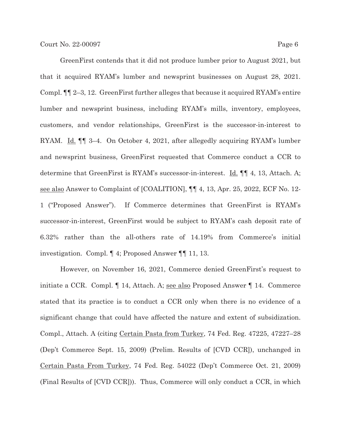GreenFirst contends that it did not produce lumber prior to August 2021, but that it acquired RYAM's lumber and newsprint businesses on August 28, 2021. Compl. ¶¶ 2–3, 12. GreenFirst further alleges that because it acquired RYAM's entire lumber and newsprint business, including RYAM's mills, inventory, employees, customers, and vendor relationships, GreenFirst is the successor-in-interest to RYAM. Id. ¶¶ 3–4. On October 4, 2021, after allegedly acquiring RYAM's lumber and newsprint business, GreenFirst requested that Commerce conduct a CCR to determine that GreenFirst is RYAM's successor-in-interest. **Id. [1]** 4, 13, Attach. A; see also Answer to Complaint of [COALITION], ¶¶ 4, 13, Apr. 25, 2022, ECF No. 12- 1 ("Proposed Answer"). If Commerce determines that GreenFirst is RYAM's successor-in-interest, GreenFirst would be subject to RYAM's cash deposit rate of 6.32% rather than the all-others rate of 14.19% from Commerce's initial investigation. Compl. ¶ 4; Proposed Answer ¶¶ 11, 13.

However, on November 16, 2021, Commerce denied GreenFirst's request to initiate a CCR. Compl. ¶ 14, Attach. A; see also Proposed Answer ¶ 14. Commerce stated that its practice is to conduct a CCR only when there is no evidence of a significant change that could have affected the nature and extent of subsidization. Compl., Attach. A (citing Certain Pasta from Turkey, 74 Fed. Reg. 47225, 47227–28 (Dep't Commerce Sept. 15, 2009) (Prelim. Results of [CVD CCR]), unchanged in Certain Pasta From Turkey, 74 Fed. Reg. 54022 (Dep't Commerce Oct. 21, 2009) (Final Results of [CVD CCR])). Thus, Commerce will only conduct a CCR, in which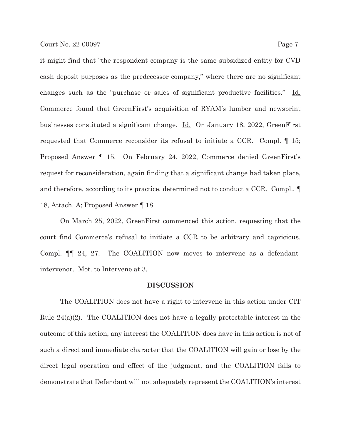it might find that "the respondent company is the same subsidized entity for CVD cash deposit purposes as the predecessor company," where there are no significant changes such as the "purchase or sales of significant productive facilities." Id. Commerce found that GreenFirst's acquisition of RYAM's lumber and newsprint businesses constituted a significant change. Id. On January 18, 2022, GreenFirst requested that Commerce reconsider its refusal to initiate a CCR. Compl. ¶ 15; Proposed Answer ¶ 15. On February 24, 2022, Commerce denied GreenFirst's request for reconsideration, again finding that a significant change had taken place, and therefore, according to its practice, determined not to conduct a CCR. Compl., ¶ 18, Attach. A; Proposed Answer ¶ 18.

 On March 25, 2022, GreenFirst commenced this action, requesting that the court find Commerce's refusal to initiate a CCR to be arbitrary and capricious. Compl. ¶¶ 24, 27. The COALITION now moves to intervene as a defendantintervenor. Mot. to Intervene at 3.

#### **DISCUSSION**

 The COALITION does not have a right to intervene in this action under CIT Rule 24(a)(2). The COALITION does not have a legally protectable interest in the outcome of this action, any interest the COALITION does have in this action is not of such a direct and immediate character that the COALITION will gain or lose by the direct legal operation and effect of the judgment, and the COALITION fails to demonstrate that Defendant will not adequately represent the COALITION's interest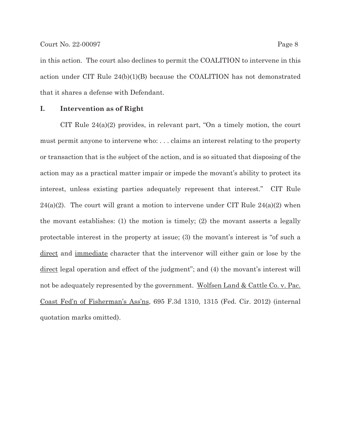in this action. The court also declines to permit the COALITION to intervene in this action under CIT Rule 24(b)(1)(B) because the COALITION has not demonstrated that it shares a defense with Defendant.

### **I. Intervention as of Right**

CIT Rule 24(a)(2) provides, in relevant part, "On a timely motion, the court must permit anyone to intervene who: . . . claims an interest relating to the property or transaction that is the subject of the action, and is so situated that disposing of the action may as a practical matter impair or impede the movant's ability to protect its interest, unless existing parties adequately represent that interest." CIT Rule 24(a)(2). The court will grant a motion to intervene under CIT Rule  $24(a)(2)$  when the movant establishes: (1) the motion is timely; (2) the movant asserts a legally protectable interest in the property at issue; (3) the movant's interest is "of such a direct and immediate character that the intervenor will either gain or lose by the direct legal operation and effect of the judgment"; and (4) the movant's interest will not be adequately represented by the government. Wolfsen Land & Cattle Co. v. Pac. Coast Fed'n of Fisherman's Ass'ns, 695 F.3d 1310, 1315 (Fed. Cir. 2012) (internal quotation marks omitted).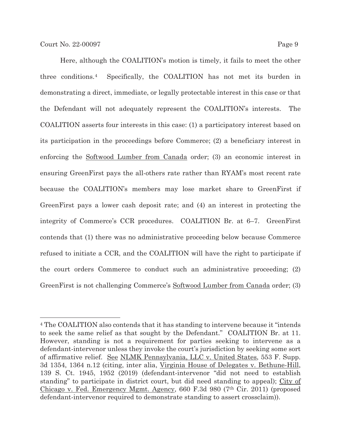Here, although the COALITION's motion is timely, it fails to meet the other three conditions.4 Specifically, the COALITION has not met its burden in demonstrating a direct, immediate, or legally protectable interest in this case or that the Defendant will not adequately represent the COALITION's interests. The COALITION asserts four interests in this case: (1) a participatory interest based on its participation in the proceedings before Commerce; (2) a beneficiary interest in enforcing the Softwood Lumber from Canada order; (3) an economic interest in ensuring GreenFirst pays the all-others rate rather than RYAM's most recent rate because the COALITION's members may lose market share to GreenFirst if GreenFirst pays a lower cash deposit rate; and (4) an interest in protecting the integrity of Commerce's CCR procedures. COALITION Br. at 6–7. GreenFirst contends that (1) there was no administrative proceeding below because Commerce refused to initiate a CCR, and the COALITION will have the right to participate if the court orders Commerce to conduct such an administrative proceeding; (2) GreenFirst is not challenging Commerce's Softwood Lumber from Canada order; (3)

<sup>4</sup> The COALITION also contends that it has standing to intervene because it "intends to seek the same relief as that sought by the Defendant." COALITION Br. at 11. However, standing is not a requirement for parties seeking to intervene as a defendant-intervenor unless they invoke the court's jurisdiction by seeking some sort of affirmative relief. See NLMK Pennsylvania, LLC v. United States, 553 F. Supp. 3d 1354, 1364 n.12 (citing, inter alia, Virginia House of Delegates v. Bethune-Hill, 139 S. Ct. 1945, 1952 (2019) (defendant-intervenor "did not need to establish standing" to participate in district court, but did need standing to appeal); City of Chicago v. Fed. Emergency Mgmt. Agency, 660 F.3d 980 (7th Cir. 2011) (proposed defendant-intervenor required to demonstrate standing to assert crossclaim)).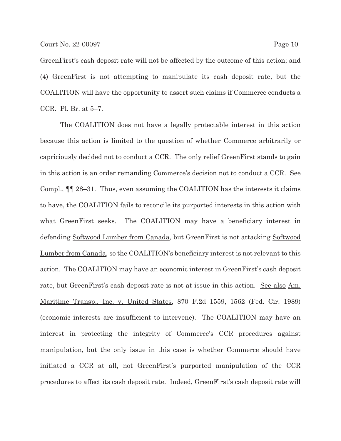GreenFirst's cash deposit rate will not be affected by the outcome of this action; and (4) GreenFirst is not attempting to manipulate its cash deposit rate, but the COALITION will have the opportunity to assert such claims if Commerce conducts a CCR. Pl. Br. at 5–7.

The COALITION does not have a legally protectable interest in this action because this action is limited to the question of whether Commerce arbitrarily or capriciously decided not to conduct a CCR. The only relief GreenFirst stands to gain in this action is an order remanding Commerce's decision not to conduct a CCR. See Compl., ¶¶ 28–31. Thus, even assuming the COALITION has the interests it claims to have, the COALITION fails to reconcile its purported interests in this action with what GreenFirst seeks. The COALITION may have a beneficiary interest in defending Softwood Lumber from Canada, but GreenFirst is not attacking Softwood Lumber from Canada, so the COALITION's beneficiary interest is not relevant to this action. The COALITION may have an economic interest in GreenFirst's cash deposit rate, but GreenFirst's cash deposit rate is not at issue in this action. See also Am. Maritime Transp., Inc. v. United States, 870 F.2d 1559, 1562 (Fed. Cir. 1989) (economic interests are insufficient to intervene). The COALITION may have an interest in protecting the integrity of Commerce's CCR procedures against manipulation, but the only issue in this case is whether Commerce should have initiated a CCR at all, not GreenFirst's purported manipulation of the CCR procedures to affect its cash deposit rate. Indeed, GreenFirst's cash deposit rate will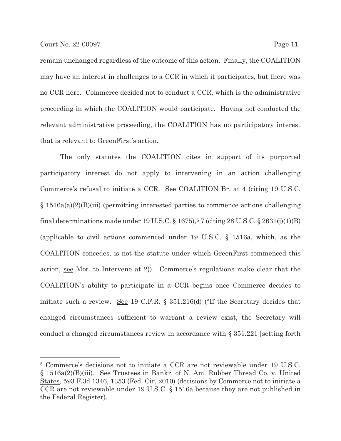remain unchanged regardless of the outcome of this action. Finally, the COALITION may have an interest in challenges to a CCR in which it participates, but there was

no CCR here. Commerce decided not to conduct a CCR, which is the administrative proceeding in which the COALITION would participate. Having not conducted the relevant administrative proceeding, the COALITION has no participatory interest that is relevant to GreenFirst's action.

The only statutes the COALITION cites in support of its purported participatory interest do not apply to intervening in an action challenging Commerce's refusal to initiate a CCR. See COALITION Br. at 4 (citing 19 U.S.C. § 1516a(a)(2)(B)(iii) (permitting interested parties to commence actions challenging final determinations made under 19 U.S.C.  $\S 1675$ ,  $57$  (citing 28 U.S.C.  $\S 2631(j)(1)(B)$ ) (applicable to civil actions commenced under 19 U.S.C. § 1516a, which, as the COALITION concedes, is not the statute under which GreenFirst commenced this action, see Mot. to Intervene at 2)). Commerce's regulations make clear that the COALITION's ability to participate in a CCR begins once Commerce decides to initiate such a review. See 19 C.F.R. § 351.216(d) ("If the Secretary decides that changed circumstances sufficient to warrant a review exist, the Secretary will conduct a changed circumstances review in accordance with § 351.221 [setting forth

<sup>5</sup> Commerce's decisions not to initiate a CCR are not reviewable under 19 U.S.C. § 1516a(2)(B)(iii). See Trustees in Bankr. of N. Am. Rubber Thread Co. v. United States, 593 F.3d 1346, 1353 (Fed. Cir. 2010) (decisions by Commerce not to initiate a CCR are not reviewable under 19 U.S.C. § 1516a because they are not published in the Federal Register).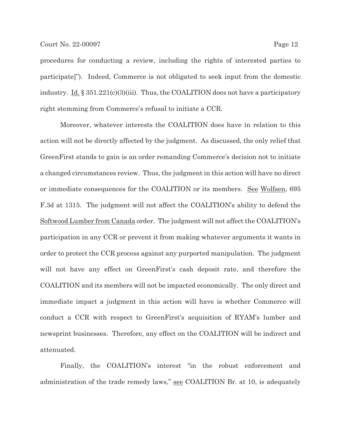procedures for conducting a review, including the rights of interested parties to participate]"). Indeed, Commerce is not obligated to seek input from the domestic industry. Id.  $\S 351.221(c)(3)(iii)$ . Thus, the COALITION does not have a participatory right stemming from Commerce's refusal to initiate a CCR.

Moreover, whatever interests the COALITION does have in relation to this action will not be directly affected by the judgment. As discussed, the only relief that GreenFirst stands to gain is an order remanding Commerce's decision not to initiate a changed circumstances review. Thus, the judgment in this action will have no direct or immediate consequences for the COALITION or its members. See Wolfsen, 695 F.3d at 1315. The judgment will not affect the COALITION's ability to defend the Softwood Lumber from Canada order. The judgment will not affect the COALITION's participation in any CCR or prevent it from making whatever arguments it wants in order to protect the CCR process against any purported manipulation. The judgment will not have any effect on GreenFirst's cash deposit rate, and therefore the COALITION and its members will not be impacted economically. The only direct and immediate impact a judgment in this action will have is whether Commerce will conduct a CCR with respect to GreenFirst's acquisition of RYAM's lumber and newsprint businesses. Therefore, any effect on the COALITION will be indirect and attenuated.

Finally, the COALITION's interest "in the robust enforcement and administration of the trade remedy laws," see COALITION Br. at 10, is adequately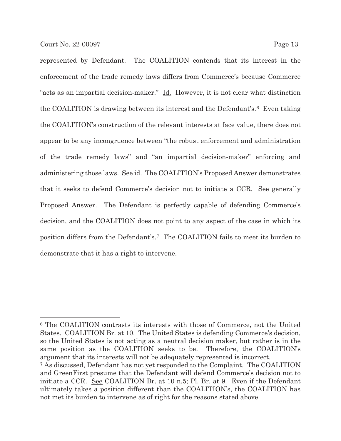represented by Defendant. The COALITION contends that its interest in the enforcement of the trade remedy laws differs from Commerce's because Commerce "acts as an impartial decision-maker." Id. However, it is not clear what distinction the COALITION is drawing between its interest and the Defendant's.<sup>6</sup> Even taking the COALITION's construction of the relevant interests at face value, there does not appear to be any incongruence between "the robust enforcement and administration of the trade remedy laws" and "an impartial decision-maker" enforcing and administering those laws. See id. The COALITION's Proposed Answer demonstrates that it seeks to defend Commerce's decision not to initiate a CCR. See generally Proposed Answer. The Defendant is perfectly capable of defending Commerce's decision, and the COALITION does not point to any aspect of the case in which its position differs from the Defendant's.7 The COALITION fails to meet its burden to demonstrate that it has a right to intervene.

<sup>6</sup> The COALITION contrasts its interests with those of Commerce, not the United States. COALITION Br. at 10. The United States is defending Commerce's decision, so the United States is not acting as a neutral decision maker, but rather is in the same position as the COALITION seeks to be. Therefore, the COALITION's argument that its interests will not be adequately represented is incorrect. 7 As discussed, Defendant has not yet responded to the Complaint. The COALITION and GreenFirst presume that the Defendant will defend Commerce's decision not to initiate a CCR. See COALITION Br. at 10 n.5; Pl. Br. at 9. Even if the Defendant ultimately takes a position different than the COALITION's, the COALITION has not met its burden to intervene as of right for the reasons stated above.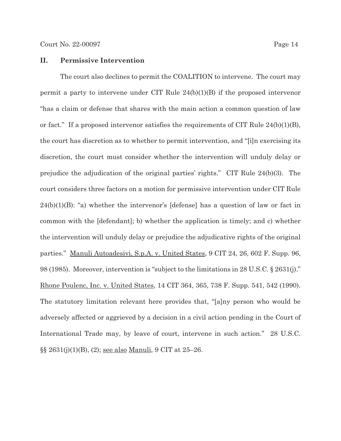#### **II. Permissive Intervention**

The court also declines to permit the COALITION to intervene. The court may permit a party to intervene under CIT Rule 24(b)(1)(B) if the proposed intervenor "has a claim or defense that shares with the main action a common question of law or fact." If a proposed intervenor satisfies the requirements of CIT Rule 24(b)(1)(B), the court has discretion as to whether to permit intervention, and "[i]n exercising its discretion, the court must consider whether the intervention will unduly delay or prejudice the adjudication of the original parties' rights." CIT Rule 24(b)(3). The court considers three factors on a motion for permissive intervention under CIT Rule  $24(b)(1)(B)$ : "a) whether the intervenor's [defense] has a question of law or fact in common with the [defendant]; b) whether the application is timely; and c) whether the intervention will unduly delay or prejudice the adjudicative rights of the original parties." Manuli Autoadesivi, S.p.A. v. United States, 9 CIT 24, 26, 602 F. Supp. 96, 98 (1985). Moreover, intervention is "subject to the limitations in 28 U.S.C. § 2631(j)." Rhone Poulenc, Inc. v. United States, 14 CIT 364, 365, 738 F. Supp. 541, 542 (1990). The statutory limitation relevant here provides that, "[a]ny person who would be adversely affected or aggrieved by a decision in a civil action pending in the Court of International Trade may, by leave of court, intervene in such action." 28 U.S.C. §§ 2631(j)(1)(B), (2); see also Manuli, 9 CIT at 25–26.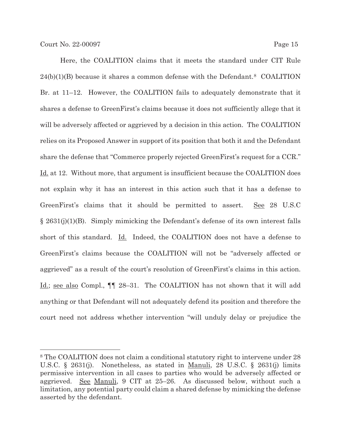Here, the COALITION claims that it meets the standard under CIT Rule  $24(b)(1)(B)$  because it shares a common defense with the Defendant.<sup>8</sup> COALITION Br. at 11–12. However, the COALITION fails to adequately demonstrate that it shares a defense to GreenFirst's claims because it does not sufficiently allege that it will be adversely affected or aggrieved by a decision in this action. The COALITION relies on its Proposed Answer in support of its position that both it and the Defendant share the defense that "Commerce properly rejected GreenFirst's request for a CCR." Id. at 12. Without more, that argument is insufficient because the COALITION does not explain why it has an interest in this action such that it has a defense to GreenFirst's claims that it should be permitted to assert. See 28 U.S.C  $\S 2631(j)(1)(B)$ . Simply mimicking the Defendant's defense of its own interest falls short of this standard. Id. Indeed, the COALITION does not have a defense to GreenFirst's claims because the COALITION will not be "adversely affected or aggrieved" as a result of the court's resolution of GreenFirst's claims in this action. Id.; see also Compl., ¶¶ 28–31. The COALITION has not shown that it will add anything or that Defendant will not adequately defend its position and therefore the court need not address whether intervention "will unduly delay or prejudice the

<sup>8</sup> The COALITION does not claim a conditional statutory right to intervene under 28 U.S.C. § 2631(j). Nonetheless, as stated in Manuli, 28 U.S.C. § 2631(j) limits permissive intervention in all cases to parties who would be adversely affected or aggrieved. See Manuli, 9 CIT at 25–26. As discussed below, without such a limitation, any potential party could claim a shared defense by mimicking the defense asserted by the defendant.